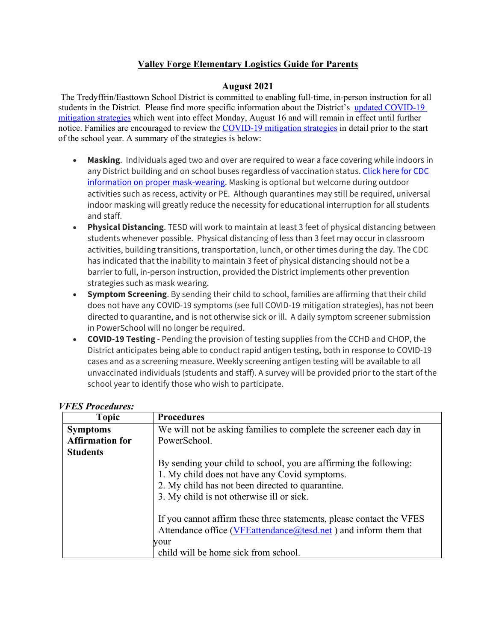### **Valley Forge Elementary Logistics Guide for Parents**

#### **August 2021**

The Tredyffrin/Easttown School District is committed to enabling full-time, in-person instruction for all students in the District. Please find more specific information about the District's [updated COVID-19](https://www.tesd.net/cms/lib/PA01001259/Centricity/Domain/1939/TE%20Covid%20Mitigation%20Plan%20Aug%2016%202021.pdf)  [mitigation strategies](https://www.tesd.net/cms/lib/PA01001259/Centricity/Domain/1939/TE%20Covid%20Mitigation%20Plan%20Aug%2016%202021.pdf) which went into effect Monday, August 16 and will remain in effect until further notice. Families are encouraged to review the [COVID-19 mitigation strategies](https://www.tesd.net/cms/lib/PA01001259/Centricity/Domain/1939/TE%20Covid%20Mitigation%20Plan%20Aug%2016%202021.pdf) in detail prior to the start of the school year. A summary of the strategies is below:

- **Masking**. Individuals aged two and over are required to wear a face covering while indoors in any District building and on school buses regardless of vaccination status. [Click here for CDC](https://www.cdc.gov/coronavirus/2019-ncov/prevent-getting-sick/diy-cloth-face-coverings.html)  [information on proper mask-wearing.](https://www.cdc.gov/coronavirus/2019-ncov/prevent-getting-sick/diy-cloth-face-coverings.html) Masking is optional but welcome during outdoor activities such as recess, activity or PE. Although quarantines may still be required, universal indoor masking will greatly reduce the necessity for educational interruption for all students and staff.
- **Physical Distancing**. TESD will work to maintain at least 3 feet of physical distancing between students whenever possible. Physical distancing of less than 3 feet may occur in classroom activities, building transitions, transportation, lunch, or other times during the day. The CDC has indicated that the inability to maintain 3 feet of physical distancing should not be a barrier to full, in-person instruction, provided the District implements other prevention strategies such as mask wearing.
- **Symptom Screening**. By sending their child to school, families are affirming that their child does not have any COVID-19 symptoms (see full COVID-19 mitigation strategies), has not been directed to quarantine, and is not otherwise sick or ill. A daily symptom screener submission in PowerSchool will no longer be required.
- **COVID-19 Testing** Pending the provision of testing supplies from the CCHD and CHOP, the District anticipates being able to conduct rapid antigen testing, both in response to COVID-19 cases and as a screening measure. Weekly screening antigen testing will be available to all unvaccinated individuals (students and staff). A survey will be provided prior to the start of the school year to identify those who wish to participate.

| <b>Topic</b>           | <b>Procedures</b>                                                                                                                           |
|------------------------|---------------------------------------------------------------------------------------------------------------------------------------------|
| <b>Symptoms</b>        | We will not be asking families to complete the screener each day in                                                                         |
| <b>Affirmation for</b> | PowerSchool.                                                                                                                                |
| <b>Students</b>        |                                                                                                                                             |
|                        | By sending your child to school, you are affirming the following:                                                                           |
|                        | 1. My child does not have any Covid symptoms.                                                                                               |
|                        | 2. My child has not been directed to quarantine.                                                                                            |
|                        | 3. My child is not otherwise ill or sick.                                                                                                   |
|                        | If you cannot affirm these three statements, please contact the VFES<br>Attendance office (VFEattendance $@$ tesd.net) and inform them that |
|                        | vour                                                                                                                                        |
|                        | child will be home sick from school.                                                                                                        |

### *VFES Procedures:*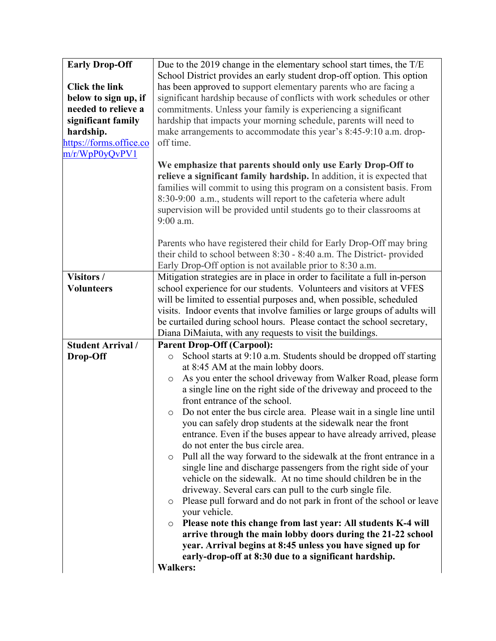| School District provides an early student drop-off option. This option<br><b>Click the link</b><br>has been approved to support elementary parents who are facing a<br>below to sign up, if<br>significant hardship because of conflicts with work schedules or other<br>needed to relieve a<br>commitments. Unless your family is experiencing a significant<br>significant family<br>hardship that impacts your morning schedule, parents will need to<br>hardship.<br>make arrangements to accommodate this year's 8:45-9:10 a.m. drop-<br>off time.<br>https://forms.office.co<br>m/r/WpP0yQvPV1<br>We emphasize that parents should only use Early Drop-Off to<br>relieve a significant family hardship. In addition, it is expected that<br>families will commit to using this program on a consistent basis. From<br>8:30-9:00 a.m., students will report to the cafeteria where adult<br>supervision will be provided until students go to their classrooms at<br>9:00 a.m.<br>Parents who have registered their child for Early Drop-Off may bring<br>their child to school between 8:30 - 8:40 a.m. The District- provided<br>Early Drop-Off option is not available prior to 8:30 a.m.<br>Visitors/<br>Mitigation strategies are in place in order to facilitate a full in-person<br><b>Volunteers</b><br>school experience for our students. Volunteers and visitors at VFES<br>will be limited to essential purposes and, when possible, scheduled |
|-----------------------------------------------------------------------------------------------------------------------------------------------------------------------------------------------------------------------------------------------------------------------------------------------------------------------------------------------------------------------------------------------------------------------------------------------------------------------------------------------------------------------------------------------------------------------------------------------------------------------------------------------------------------------------------------------------------------------------------------------------------------------------------------------------------------------------------------------------------------------------------------------------------------------------------------------------------------------------------------------------------------------------------------------------------------------------------------------------------------------------------------------------------------------------------------------------------------------------------------------------------------------------------------------------------------------------------------------------------------------------------------------------------------------------------------------------------------|
|                                                                                                                                                                                                                                                                                                                                                                                                                                                                                                                                                                                                                                                                                                                                                                                                                                                                                                                                                                                                                                                                                                                                                                                                                                                                                                                                                                                                                                                                 |
|                                                                                                                                                                                                                                                                                                                                                                                                                                                                                                                                                                                                                                                                                                                                                                                                                                                                                                                                                                                                                                                                                                                                                                                                                                                                                                                                                                                                                                                                 |
|                                                                                                                                                                                                                                                                                                                                                                                                                                                                                                                                                                                                                                                                                                                                                                                                                                                                                                                                                                                                                                                                                                                                                                                                                                                                                                                                                                                                                                                                 |
|                                                                                                                                                                                                                                                                                                                                                                                                                                                                                                                                                                                                                                                                                                                                                                                                                                                                                                                                                                                                                                                                                                                                                                                                                                                                                                                                                                                                                                                                 |
|                                                                                                                                                                                                                                                                                                                                                                                                                                                                                                                                                                                                                                                                                                                                                                                                                                                                                                                                                                                                                                                                                                                                                                                                                                                                                                                                                                                                                                                                 |
|                                                                                                                                                                                                                                                                                                                                                                                                                                                                                                                                                                                                                                                                                                                                                                                                                                                                                                                                                                                                                                                                                                                                                                                                                                                                                                                                                                                                                                                                 |
|                                                                                                                                                                                                                                                                                                                                                                                                                                                                                                                                                                                                                                                                                                                                                                                                                                                                                                                                                                                                                                                                                                                                                                                                                                                                                                                                                                                                                                                                 |
|                                                                                                                                                                                                                                                                                                                                                                                                                                                                                                                                                                                                                                                                                                                                                                                                                                                                                                                                                                                                                                                                                                                                                                                                                                                                                                                                                                                                                                                                 |
|                                                                                                                                                                                                                                                                                                                                                                                                                                                                                                                                                                                                                                                                                                                                                                                                                                                                                                                                                                                                                                                                                                                                                                                                                                                                                                                                                                                                                                                                 |
|                                                                                                                                                                                                                                                                                                                                                                                                                                                                                                                                                                                                                                                                                                                                                                                                                                                                                                                                                                                                                                                                                                                                                                                                                                                                                                                                                                                                                                                                 |
|                                                                                                                                                                                                                                                                                                                                                                                                                                                                                                                                                                                                                                                                                                                                                                                                                                                                                                                                                                                                                                                                                                                                                                                                                                                                                                                                                                                                                                                                 |
|                                                                                                                                                                                                                                                                                                                                                                                                                                                                                                                                                                                                                                                                                                                                                                                                                                                                                                                                                                                                                                                                                                                                                                                                                                                                                                                                                                                                                                                                 |
|                                                                                                                                                                                                                                                                                                                                                                                                                                                                                                                                                                                                                                                                                                                                                                                                                                                                                                                                                                                                                                                                                                                                                                                                                                                                                                                                                                                                                                                                 |
|                                                                                                                                                                                                                                                                                                                                                                                                                                                                                                                                                                                                                                                                                                                                                                                                                                                                                                                                                                                                                                                                                                                                                                                                                                                                                                                                                                                                                                                                 |
|                                                                                                                                                                                                                                                                                                                                                                                                                                                                                                                                                                                                                                                                                                                                                                                                                                                                                                                                                                                                                                                                                                                                                                                                                                                                                                                                                                                                                                                                 |
|                                                                                                                                                                                                                                                                                                                                                                                                                                                                                                                                                                                                                                                                                                                                                                                                                                                                                                                                                                                                                                                                                                                                                                                                                                                                                                                                                                                                                                                                 |
|                                                                                                                                                                                                                                                                                                                                                                                                                                                                                                                                                                                                                                                                                                                                                                                                                                                                                                                                                                                                                                                                                                                                                                                                                                                                                                                                                                                                                                                                 |
|                                                                                                                                                                                                                                                                                                                                                                                                                                                                                                                                                                                                                                                                                                                                                                                                                                                                                                                                                                                                                                                                                                                                                                                                                                                                                                                                                                                                                                                                 |
|                                                                                                                                                                                                                                                                                                                                                                                                                                                                                                                                                                                                                                                                                                                                                                                                                                                                                                                                                                                                                                                                                                                                                                                                                                                                                                                                                                                                                                                                 |
|                                                                                                                                                                                                                                                                                                                                                                                                                                                                                                                                                                                                                                                                                                                                                                                                                                                                                                                                                                                                                                                                                                                                                                                                                                                                                                                                                                                                                                                                 |
|                                                                                                                                                                                                                                                                                                                                                                                                                                                                                                                                                                                                                                                                                                                                                                                                                                                                                                                                                                                                                                                                                                                                                                                                                                                                                                                                                                                                                                                                 |
|                                                                                                                                                                                                                                                                                                                                                                                                                                                                                                                                                                                                                                                                                                                                                                                                                                                                                                                                                                                                                                                                                                                                                                                                                                                                                                                                                                                                                                                                 |
|                                                                                                                                                                                                                                                                                                                                                                                                                                                                                                                                                                                                                                                                                                                                                                                                                                                                                                                                                                                                                                                                                                                                                                                                                                                                                                                                                                                                                                                                 |
| visits. Indoor events that involve families or large groups of adults will<br>be curtailed during school hours. Please contact the school secretary,                                                                                                                                                                                                                                                                                                                                                                                                                                                                                                                                                                                                                                                                                                                                                                                                                                                                                                                                                                                                                                                                                                                                                                                                                                                                                                            |
|                                                                                                                                                                                                                                                                                                                                                                                                                                                                                                                                                                                                                                                                                                                                                                                                                                                                                                                                                                                                                                                                                                                                                                                                                                                                                                                                                                                                                                                                 |
| Diana DiMaiuta, with any requests to visit the buildings.                                                                                                                                                                                                                                                                                                                                                                                                                                                                                                                                                                                                                                                                                                                                                                                                                                                                                                                                                                                                                                                                                                                                                                                                                                                                                                                                                                                                       |
| <b>Student Arrival /</b><br><b>Parent Drop-Off (Carpool):</b>                                                                                                                                                                                                                                                                                                                                                                                                                                                                                                                                                                                                                                                                                                                                                                                                                                                                                                                                                                                                                                                                                                                                                                                                                                                                                                                                                                                                   |
| Drop-Off<br>School starts at 9:10 a.m. Students should be dropped off starting<br>$\circ$                                                                                                                                                                                                                                                                                                                                                                                                                                                                                                                                                                                                                                                                                                                                                                                                                                                                                                                                                                                                                                                                                                                                                                                                                                                                                                                                                                       |
| at 8:45 AM at the main lobby doors.                                                                                                                                                                                                                                                                                                                                                                                                                                                                                                                                                                                                                                                                                                                                                                                                                                                                                                                                                                                                                                                                                                                                                                                                                                                                                                                                                                                                                             |
| As you enter the school driveway from Walker Road, please form<br>$\circ$                                                                                                                                                                                                                                                                                                                                                                                                                                                                                                                                                                                                                                                                                                                                                                                                                                                                                                                                                                                                                                                                                                                                                                                                                                                                                                                                                                                       |
| a single line on the right side of the driveway and proceed to the                                                                                                                                                                                                                                                                                                                                                                                                                                                                                                                                                                                                                                                                                                                                                                                                                                                                                                                                                                                                                                                                                                                                                                                                                                                                                                                                                                                              |
| front entrance of the school.                                                                                                                                                                                                                                                                                                                                                                                                                                                                                                                                                                                                                                                                                                                                                                                                                                                                                                                                                                                                                                                                                                                                                                                                                                                                                                                                                                                                                                   |
| Do not enter the bus circle area. Please wait in a single line until<br>$\circ$                                                                                                                                                                                                                                                                                                                                                                                                                                                                                                                                                                                                                                                                                                                                                                                                                                                                                                                                                                                                                                                                                                                                                                                                                                                                                                                                                                                 |
| you can safely drop students at the sidewalk near the front                                                                                                                                                                                                                                                                                                                                                                                                                                                                                                                                                                                                                                                                                                                                                                                                                                                                                                                                                                                                                                                                                                                                                                                                                                                                                                                                                                                                     |
| entrance. Even if the buses appear to have already arrived, please                                                                                                                                                                                                                                                                                                                                                                                                                                                                                                                                                                                                                                                                                                                                                                                                                                                                                                                                                                                                                                                                                                                                                                                                                                                                                                                                                                                              |
| do not enter the bus circle area.                                                                                                                                                                                                                                                                                                                                                                                                                                                                                                                                                                                                                                                                                                                                                                                                                                                                                                                                                                                                                                                                                                                                                                                                                                                                                                                                                                                                                               |
| Pull all the way forward to the sidewalk at the front entrance in a<br>O                                                                                                                                                                                                                                                                                                                                                                                                                                                                                                                                                                                                                                                                                                                                                                                                                                                                                                                                                                                                                                                                                                                                                                                                                                                                                                                                                                                        |
| single line and discharge passengers from the right side of your                                                                                                                                                                                                                                                                                                                                                                                                                                                                                                                                                                                                                                                                                                                                                                                                                                                                                                                                                                                                                                                                                                                                                                                                                                                                                                                                                                                                |
| vehicle on the sidewalk. At no time should children be in the                                                                                                                                                                                                                                                                                                                                                                                                                                                                                                                                                                                                                                                                                                                                                                                                                                                                                                                                                                                                                                                                                                                                                                                                                                                                                                                                                                                                   |
| driveway. Several cars can pull to the curb single file.                                                                                                                                                                                                                                                                                                                                                                                                                                                                                                                                                                                                                                                                                                                                                                                                                                                                                                                                                                                                                                                                                                                                                                                                                                                                                                                                                                                                        |
| Please pull forward and do not park in front of the school or leave<br>$\circ$                                                                                                                                                                                                                                                                                                                                                                                                                                                                                                                                                                                                                                                                                                                                                                                                                                                                                                                                                                                                                                                                                                                                                                                                                                                                                                                                                                                  |
| your vehicle.                                                                                                                                                                                                                                                                                                                                                                                                                                                                                                                                                                                                                                                                                                                                                                                                                                                                                                                                                                                                                                                                                                                                                                                                                                                                                                                                                                                                                                                   |
| Please note this change from last year: All students K-4 will                                                                                                                                                                                                                                                                                                                                                                                                                                                                                                                                                                                                                                                                                                                                                                                                                                                                                                                                                                                                                                                                                                                                                                                                                                                                                                                                                                                                   |
| $\circ$                                                                                                                                                                                                                                                                                                                                                                                                                                                                                                                                                                                                                                                                                                                                                                                                                                                                                                                                                                                                                                                                                                                                                                                                                                                                                                                                                                                                                                                         |
| arrive through the main lobby doors during the 21-22 school                                                                                                                                                                                                                                                                                                                                                                                                                                                                                                                                                                                                                                                                                                                                                                                                                                                                                                                                                                                                                                                                                                                                                                                                                                                                                                                                                                                                     |
| year. Arrival begins at 8:45 unless you have signed up for                                                                                                                                                                                                                                                                                                                                                                                                                                                                                                                                                                                                                                                                                                                                                                                                                                                                                                                                                                                                                                                                                                                                                                                                                                                                                                                                                                                                      |
| early-drop-off at 8:30 due to a significant hardship.                                                                                                                                                                                                                                                                                                                                                                                                                                                                                                                                                                                                                                                                                                                                                                                                                                                                                                                                                                                                                                                                                                                                                                                                                                                                                                                                                                                                           |
| <b>Walkers:</b>                                                                                                                                                                                                                                                                                                                                                                                                                                                                                                                                                                                                                                                                                                                                                                                                                                                                                                                                                                                                                                                                                                                                                                                                                                                                                                                                                                                                                                                 |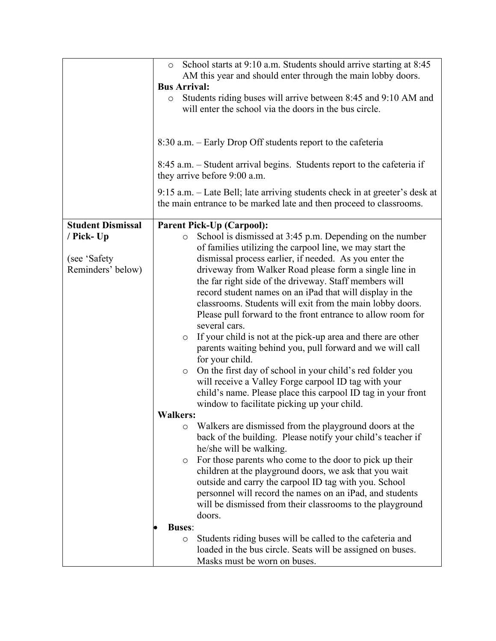|                          | School starts at 9:10 a.m. Students should arrive starting at 8:45<br>$\circ$                           |
|--------------------------|---------------------------------------------------------------------------------------------------------|
|                          | AM this year and should enter through the main lobby doors.                                             |
|                          | <b>Bus Arrival:</b>                                                                                     |
|                          | Students riding buses will arrive between 8:45 and 9:10 AM and<br>$\bigcirc$                            |
|                          | will enter the school via the doors in the bus circle.                                                  |
|                          |                                                                                                         |
|                          | 8:30 a.m. – Early Drop Off students report to the cafeteria                                             |
|                          |                                                                                                         |
|                          | 8:45 a.m. – Student arrival begins. Students report to the cafeteria if<br>they arrive before 9:00 a.m. |
|                          | 9:15 a.m. – Late Bell; late arriving students check in at greeter's desk at                             |
|                          | the main entrance to be marked late and then proceed to classrooms.                                     |
| <b>Student Dismissal</b> | <b>Parent Pick-Up (Carpool):</b>                                                                        |
| / Pick- Up               | School is dismissed at 3:45 p.m. Depending on the number<br>$\circ$                                     |
|                          | of families utilizing the carpool line, we may start the                                                |
| (see 'Safety             | dismissal process earlier, if needed. As you enter the                                                  |
| Reminders' below)        | driveway from Walker Road please form a single line in                                                  |
|                          | the far right side of the driveway. Staff members will                                                  |
|                          | record student names on an iPad that will display in the                                                |
|                          | classrooms. Students will exit from the main lobby doors.                                               |
|                          | Please pull forward to the front entrance to allow room for                                             |
|                          | several cars.                                                                                           |
|                          | If your child is not at the pick-up area and there are other<br>$\circ$                                 |
|                          | parents waiting behind you, pull forward and we will call                                               |
|                          | for your child.                                                                                         |
|                          | On the first day of school in your child's red folder you<br>$\circlearrowright$                        |
|                          | will receive a Valley Forge carpool ID tag with your                                                    |
|                          | child's name. Please place this carpool ID tag in your front                                            |
|                          | window to facilitate picking up your child.                                                             |
|                          | <b>Walkers:</b>                                                                                         |
|                          | Walkers are dismissed from the playground doors at the<br>O                                             |
|                          | back of the building. Please notify your child's teacher if                                             |
|                          | he/she will be walking.                                                                                 |
|                          | For those parents who come to the door to pick up their<br>O                                            |
|                          | children at the playground doors, we ask that you wait                                                  |
|                          | outside and carry the carpool ID tag with you. School                                                   |
|                          | personnel will record the names on an iPad, and students                                                |
|                          | will be dismissed from their classrooms to the playground                                               |
|                          | doors.                                                                                                  |
|                          | <b>Buses:</b>                                                                                           |
|                          | Students riding buses will be called to the cafeteria and<br>O                                          |
|                          | loaded in the bus circle. Seats will be assigned on buses.                                              |
|                          | Masks must be worn on buses.                                                                            |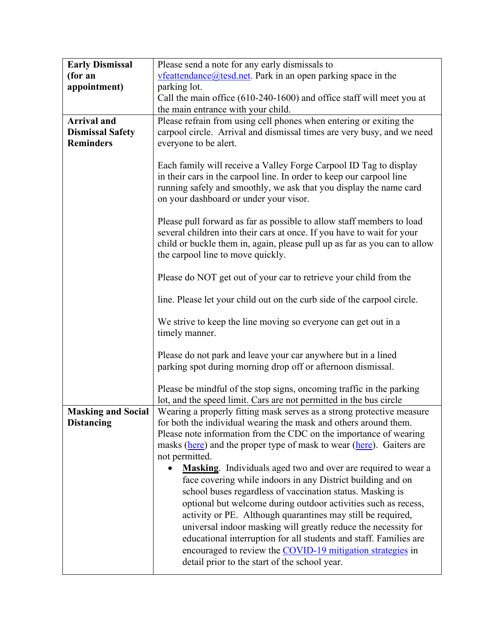| <b>Early Dismissal</b>                         | Please send a note for any early dismissals to                                                                                                                                                                                                                                                                                                                                                                                                                                                                                                                                                                                                                                                                                                                                                                                                                                                      |
|------------------------------------------------|-----------------------------------------------------------------------------------------------------------------------------------------------------------------------------------------------------------------------------------------------------------------------------------------------------------------------------------------------------------------------------------------------------------------------------------------------------------------------------------------------------------------------------------------------------------------------------------------------------------------------------------------------------------------------------------------------------------------------------------------------------------------------------------------------------------------------------------------------------------------------------------------------------|
| (for an                                        | $v$ feattendance $(a)$ tesd.net. Park in an open parking space in the                                                                                                                                                                                                                                                                                                                                                                                                                                                                                                                                                                                                                                                                                                                                                                                                                               |
| appointment)                                   | parking lot.                                                                                                                                                                                                                                                                                                                                                                                                                                                                                                                                                                                                                                                                                                                                                                                                                                                                                        |
|                                                | Call the main office (610-240-1600) and office staff will meet you at                                                                                                                                                                                                                                                                                                                                                                                                                                                                                                                                                                                                                                                                                                                                                                                                                               |
|                                                | the main entrance with your child.                                                                                                                                                                                                                                                                                                                                                                                                                                                                                                                                                                                                                                                                                                                                                                                                                                                                  |
| <b>Arrival and</b>                             | Please refrain from using cell phones when entering or exiting the                                                                                                                                                                                                                                                                                                                                                                                                                                                                                                                                                                                                                                                                                                                                                                                                                                  |
| <b>Dismissal Safety</b>                        | carpool circle. Arrival and dismissal times are very busy, and we need                                                                                                                                                                                                                                                                                                                                                                                                                                                                                                                                                                                                                                                                                                                                                                                                                              |
| <b>Reminders</b>                               | everyone to be alert.                                                                                                                                                                                                                                                                                                                                                                                                                                                                                                                                                                                                                                                                                                                                                                                                                                                                               |
|                                                |                                                                                                                                                                                                                                                                                                                                                                                                                                                                                                                                                                                                                                                                                                                                                                                                                                                                                                     |
|                                                | Each family will receive a Valley Forge Carpool ID Tag to display<br>in their cars in the carpool line. In order to keep our carpool line<br>running safely and smoothly, we ask that you display the name card<br>on your dashboard or under your visor.                                                                                                                                                                                                                                                                                                                                                                                                                                                                                                                                                                                                                                           |
|                                                | Please pull forward as far as possible to allow staff members to load<br>several children into their cars at once. If you have to wait for your<br>child or buckle them in, again, please pull up as far as you can to allow<br>the carpool line to move quickly.                                                                                                                                                                                                                                                                                                                                                                                                                                                                                                                                                                                                                                   |
|                                                | Please do NOT get out of your car to retrieve your child from the                                                                                                                                                                                                                                                                                                                                                                                                                                                                                                                                                                                                                                                                                                                                                                                                                                   |
|                                                | line. Please let your child out on the curb side of the carpool circle.                                                                                                                                                                                                                                                                                                                                                                                                                                                                                                                                                                                                                                                                                                                                                                                                                             |
|                                                | We strive to keep the line moving so everyone can get out in a<br>timely manner.                                                                                                                                                                                                                                                                                                                                                                                                                                                                                                                                                                                                                                                                                                                                                                                                                    |
|                                                | Please do not park and leave your car anywhere but in a lined<br>parking spot during morning drop off or afternoon dismissal.                                                                                                                                                                                                                                                                                                                                                                                                                                                                                                                                                                                                                                                                                                                                                                       |
|                                                | Please be mindful of the stop signs, oncoming traffic in the parking<br>lot, and the speed limit. Cars are not permitted in the bus circle                                                                                                                                                                                                                                                                                                                                                                                                                                                                                                                                                                                                                                                                                                                                                          |
| <b>Masking and Social</b><br><b>Distancing</b> | Wearing a properly fitting mask serves as a strong protective measure<br>for both the individual wearing the mask and others around them.<br>Please note information from the CDC on the importance of wearing<br>masks (here) and the proper type of mask to wear (here). Gaiters are<br>not permitted.<br><b>Masking.</b> Individuals aged two and over are required to wear a<br>face covering while indoors in any District building and on<br>school buses regardless of vaccination status. Masking is<br>optional but welcome during outdoor activities such as recess,<br>activity or PE. Although quarantines may still be required,<br>universal indoor masking will greatly reduce the necessity for<br>educational interruption for all students and staff. Families are<br>encouraged to review the COVID-19 mitigation strategies in<br>detail prior to the start of the school year. |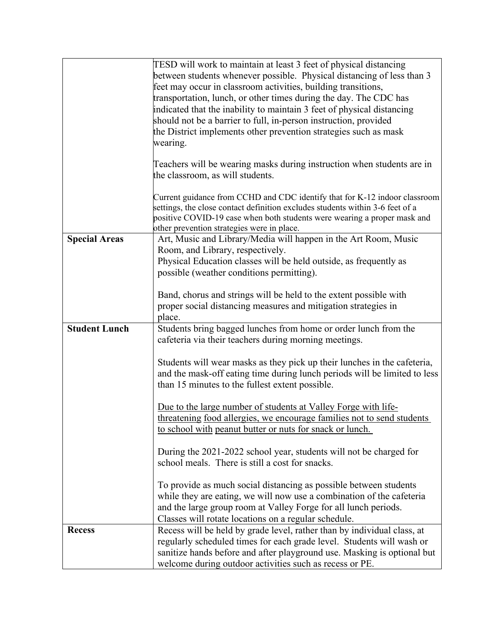|                      | TESD will work to maintain at least 3 feet of physical distancing             |
|----------------------|-------------------------------------------------------------------------------|
|                      | between students whenever possible. Physical distancing of less than 3        |
|                      | feet may occur in classroom activities, building transitions,                 |
|                      | transportation, lunch, or other times during the day. The CDC has             |
|                      | indicated that the inability to maintain 3 feet of physical distancing        |
|                      | should not be a barrier to full, in-person instruction, provided              |
|                      | the District implements other prevention strategies such as mask              |
|                      | wearing.                                                                      |
|                      |                                                                               |
|                      | Teachers will be wearing masks during instruction when students are in        |
|                      | the classroom, as will students.                                              |
|                      |                                                                               |
|                      | Current guidance from CCHD and CDC identify that for K-12 indoor classroom    |
|                      | settings, the close contact definition excludes students within 3-6 feet of a |
|                      | positive COVID-19 case when both students were wearing a proper mask and      |
|                      | other prevention strategies were in place.                                    |
| <b>Special Areas</b> | Art, Music and Library/Media will happen in the Art Room, Music               |
|                      | Room, and Library, respectively.                                              |
|                      | Physical Education classes will be held outside, as frequently as             |
|                      | possible (weather conditions permitting).                                     |
|                      |                                                                               |
|                      | Band, chorus and strings will be held to the extent possible with             |
|                      | proper social distancing measures and mitigation strategies in                |
|                      | place.                                                                        |
| <b>Student Lunch</b> | Students bring bagged lunches from home or order lunch from the               |
|                      |                                                                               |
|                      | cafeteria via their teachers during morning meetings.                         |
|                      | Students will wear masks as they pick up their lunches in the cafeteria,      |
|                      | and the mask-off eating time during lunch periods will be limited to less     |
|                      |                                                                               |
|                      | than 15 minutes to the fullest extent possible.                               |
|                      | Due to the large number of students at Valley Forge with life-                |
|                      | threatening food allergies, we encourage families not to send students        |
|                      | to school with peanut butter or nuts for snack or lunch.                      |
|                      |                                                                               |
|                      | During the 2021-2022 school year, students will not be charged for            |
|                      | school meals. There is still a cost for snacks.                               |
|                      |                                                                               |
|                      | To provide as much social distancing as possible between students             |
|                      | while they are eating, we will now use a combination of the cafeteria         |
|                      | and the large group room at Valley Forge for all lunch periods.               |
|                      |                                                                               |
|                      | Classes will rotate locations on a regular schedule.                          |
| <b>Recess</b>        | Recess will be held by grade level, rather than by individual class, at       |
|                      | regularly scheduled times for each grade level. Students will wash or         |
|                      | sanitize hands before and after playground use. Masking is optional but       |
|                      | welcome during outdoor activities such as recess or PE.                       |